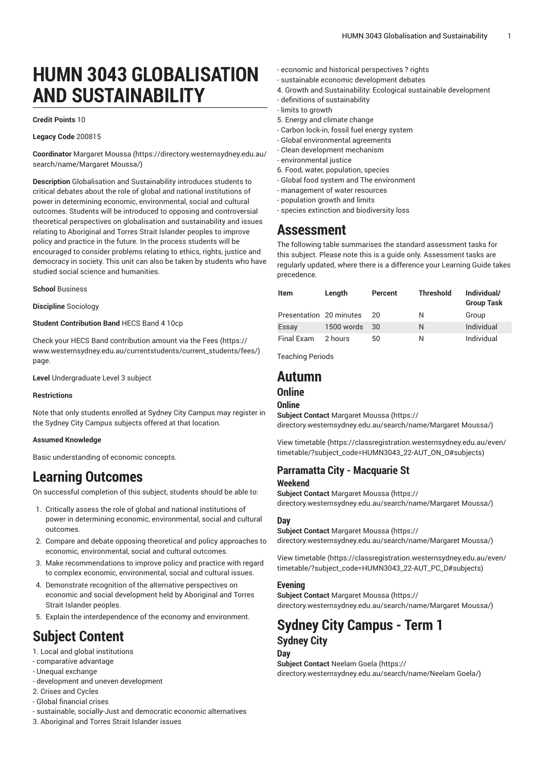# **HUMN 3043 GLOBALISATION AND SUSTAINABILITY**

#### **Credit Points** 10

#### **Legacy Code** 200815

**Coordinator** [Margaret](https://directory.westernsydney.edu.au/search/name/Margaret Moussa/) Moussa ([https://directory.westernsydney.edu.au/](https://directory.westernsydney.edu.au/search/name/Margaret Moussa/) [search/name/Margaret](https://directory.westernsydney.edu.au/search/name/Margaret Moussa/) Moussa/)

**Description** Globalisation and Sustainability introduces students to critical debates about the role of global and national institutions of power in determining economic, environmental, social and cultural outcomes. Students will be introduced to opposing and controversial theoretical perspectives on globalisation and sustainability and issues relating to Aboriginal and Torres Strait Islander peoples to improve policy and practice in the future. In the process students will be encouraged to consider problems relating to ethics, rights, justice and democracy in society. This unit can also be taken by students who have studied social science and humanities.

**School** Business

#### **Discipline** Sociology

#### **Student Contribution Band** HECS Band 4 10cp

Check your HECS Band contribution amount via the [Fees \(https://](https://www.westernsydney.edu.au/currentstudents/current_students/fees/) [www.westernsydney.edu.au/currentstudents/current\\_students/fees/\)](https://www.westernsydney.edu.au/currentstudents/current_students/fees/) page.

**Level** Undergraduate Level 3 subject

#### **Restrictions**

Note that only students enrolled at Sydney City Campus may register in the Sydney City Campus subjects offered at that location.

#### **Assumed Knowledge**

Basic understanding of economic concepts.

## **Learning Outcomes**

On successful completion of this subject, students should be able to:

- 1. Critically assess the role of global and national institutions of power in determining economic, environmental, social and cultural outcomes.
- 2. Compare and debate opposing theoretical and policy approaches to economic, environmental, social and cultural outcomes.
- 3. Make recommendations to improve policy and practice with regard to complex economic, environmental, social and cultural issues.
- 4. Demonstrate recognition of the alternative perspectives on economic and social development held by Aboriginal and Torres Strait Islander peoples.
- 5. Explain the interdependence of the economy and environment.

## **Subject Content**

- 1. Local and global institutions
- comparative advantage
- Unequal exchange
- development and uneven development
- 2. Crises and Cycles
- Global financial crises
- sustainable, socially-Just and democratic economic alternatives
- 3. Aboriginal and Torres Strait Islander issues
- economic and historical perspectives ? rights
- sustainable economic development debates
- 4. Growth and Sustainability: Ecological sustainable development
- definitions of sustainability
- limits to growth
- 5. Energy and climate change
- Carbon lock-in, fossil fuel energy system
- Global environmental agreements
- Clean development mechanism
- environmental justice
- 6. Food, water, population, species
- Global food system and The environment
- management of water resources
- population growth and limits
- species extinction and biodiversity loss

## **Assessment**

The following table summarises the standard assessment tasks for this subject. Please note this is a guide only. Assessment tasks are regularly updated, where there is a difference your Learning Guide takes precedence.

| <b>Item</b>             | Length     | Percent | <b>Threshold</b> | Individual/<br><b>Group Task</b> |
|-------------------------|------------|---------|------------------|----------------------------------|
| Presentation 20 minutes |            | 20      | N                | Group                            |
| Essay                   | 1500 words | -30     | N                | Individual                       |
| Final Exam              | 2 hours    | 50      | Ν                | Individual                       |

Teaching Periods

## **Autumn**

#### **Online**

#### **Online**

**Subject Contact** [Margaret](https://directory.westernsydney.edu.au/search/name/Margaret Moussa/) Moussa ([https://](https://directory.westernsydney.edu.au/search/name/Margaret Moussa/) [directory.westernsydney.edu.au/search/name/Margaret](https://directory.westernsydney.edu.au/search/name/Margaret Moussa/) Moussa/)

[View timetable](https://classregistration.westernsydney.edu.au/even/timetable/?subject_code=HUMN3043_22-AUT_ON_O#subjects) [\(https://classregistration.westernsydney.edu.au/even/](https://classregistration.westernsydney.edu.au/even/timetable/?subject_code=HUMN3043_22-AUT_ON_O#subjects) [timetable/?subject\\_code=HUMN3043\\_22-AUT\\_ON\\_O#subjects\)](https://classregistration.westernsydney.edu.au/even/timetable/?subject_code=HUMN3043_22-AUT_ON_O#subjects)

## **Parramatta City - Macquarie St**

#### **Weekend**

**Subject Contact** [Margaret](https://directory.westernsydney.edu.au/search/name/Margaret Moussa/) Moussa ([https://](https://directory.westernsydney.edu.au/search/name/Margaret Moussa/) [directory.westernsydney.edu.au/search/name/Margaret](https://directory.westernsydney.edu.au/search/name/Margaret Moussa/) Moussa/)

#### **Day**

**Subject Contact** [Margaret](https://directory.westernsydney.edu.au/search/name/Margaret Moussa/) Moussa ([https://](https://directory.westernsydney.edu.au/search/name/Margaret Moussa/) [directory.westernsydney.edu.au/search/name/Margaret](https://directory.westernsydney.edu.au/search/name/Margaret Moussa/) Moussa/)

[View timetable](https://classregistration.westernsydney.edu.au/even/timetable/?subject_code=HUMN3043_22-AUT_PC_D#subjects) [\(https://classregistration.westernsydney.edu.au/even/](https://classregistration.westernsydney.edu.au/even/timetable/?subject_code=HUMN3043_22-AUT_PC_D#subjects) [timetable/?subject\\_code=HUMN3043\\_22-AUT\\_PC\\_D#subjects\)](https://classregistration.westernsydney.edu.au/even/timetable/?subject_code=HUMN3043_22-AUT_PC_D#subjects)

#### **Evening**

**Subject Contact** [Margaret](https://directory.westernsydney.edu.au/search/name/Margaret Moussa/) Moussa ([https://](https://directory.westernsydney.edu.au/search/name/Margaret Moussa/) [directory.westernsydney.edu.au/search/name/Margaret](https://directory.westernsydney.edu.au/search/name/Margaret Moussa/) Moussa/)

### **Sydney City Campus - Term 1 Sydney City Day**

**Subject Contact** [Neelam Goela \(https://](https://directory.westernsydney.edu.au/search/name/Neelam Goela/) [directory.westernsydney.edu.au/search/name/Neelam](https://directory.westernsydney.edu.au/search/name/Neelam Goela/) Goela/)